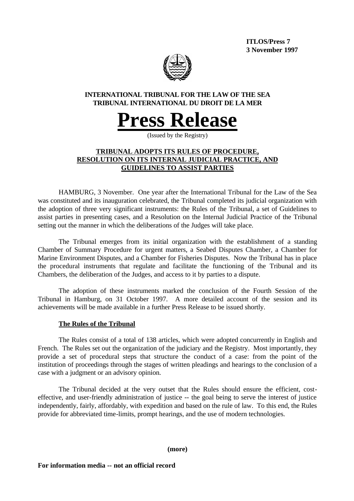**ITLOS/Press 7 3 November 1997**



## **INTERNATIONAL TRIBUNAL FOR THE LAW OF THE SEA TRIBUNAL INTERNATIONAL DU DROIT DE LA MER**

# **Press Release**

(Issued by the Registry)

## **TRIBUNAL ADOPTS ITS RULES OF PROCEDURE, RESOLUTION ON ITS INTERNAL JUDICIAL PRACTICE, AND GUIDELINES TO ASSIST PARTIES**

HAMBURG, 3 November. One year after the International Tribunal for the Law of the Sea was constituted and its inauguration celebrated, the Tribunal completed its judicial organization with the adoption of three very significant instruments: the Rules of the Tribunal, a set of Guidelines to assist parties in presenting cases, and a Resolution on the Internal Judicial Practice of the Tribunal setting out the manner in which the deliberations of the Judges will take place.

The Tribunal emerges from its initial organization with the establishment of a standing Chamber of Summary Procedure for urgent matters, a Seabed Disputes Chamber, a Chamber for Marine Environment Disputes, and a Chamber for Fisheries Disputes. Now the Tribunal has in place the procedural instruments that regulate and facilitate the functioning of the Tribunal and its Chambers, the deliberation of the Judges, and access to it by parties to a dispute.

The adoption of these instruments marked the conclusion of the Fourth Session of the Tribunal in Hamburg, on 31 October 1997. A more detailed account of the session and its achievements will be made available in a further Press Release to be issued shortly.

## **The Rules of the Tribunal**

The Rules consist of a total of 138 articles, which were adopted concurrently in English and French. The Rules set out the organization of the judiciary and the Registry. Most importantly, they provide a set of procedural steps that structure the conduct of a case: from the point of the institution of proceedings through the stages of written pleadings and hearings to the conclusion of a case with a judgment or an advisory opinion.

The Tribunal decided at the very outset that the Rules should ensure the efficient, costeffective, and user-friendly administration of justice -- the goal being to serve the interest of justice independently, fairly, affordably, with expedition and based on the rule of law. To this end, the Rules provide for abbreviated time-limits, prompt hearings, and the use of modern technologies.

**(more)**